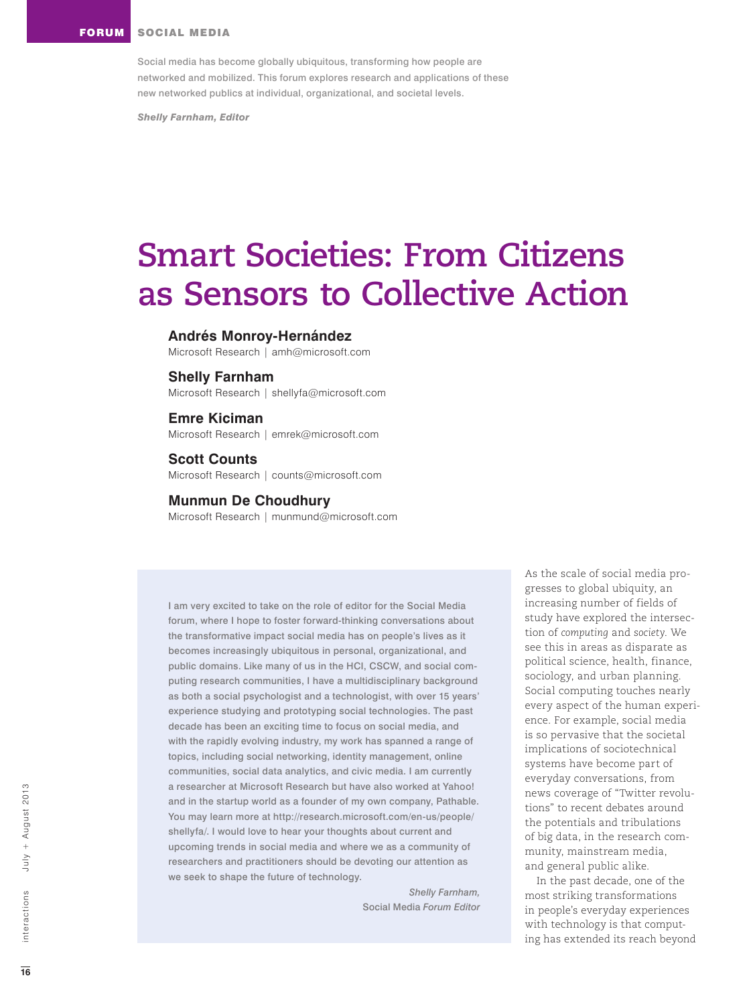## FORUM Social Media

Social media has become globally ubiquitous, transforming how people are networked and mobilized. This forum explores research and applications of these new networked publics at individual, organizational, and societal levels.

*Shelly Farnham, Editor*

# **Smart Societies: From Citizens as Sensors to Collective Action**

# **Andrés Monroy-Hernández**

Microsoft Research | amh@microsoft.com

#### **Shelly Farnham**

Microsoft Research | shellyfa@microsoft.com

# **Emre Kiciman**

Microsoft Research | emrek@microsoft.com

#### **Scott Counts**

Microsoft Research | counts@microsoft.com

# **Munmun De Choudhury**

Microsoft Research | munmund@microsoft.com

I am very excited to take on the role of editor for the Social Media forum, where I hope to foster forward-thinking conversations about the transformative impact social media has on people's lives as it becomes increasingly ubiquitous in personal, organizational, and public domains. Like many of us in the HCI, CSCW, and social computing research communities, I have a multidisciplinary background as both a social psychologist and a technologist, with over 15 years' experience studying and prototyping social technologies. The past decade has been an exciting time to focus on social media, and with the rapidly evolving industry, my work has spanned a range of topics, including social networking, identity management, online communities, social data analytics, and civic media. I am currently a researcher at Microsoft Research but have also worked at Yahoo! and in the startup world as a founder of my own company, Pathable. You may learn more at http://research.microsoft.com/en-us/people/ shellyfa/. I would love to hear your thoughts about current and upcoming trends in social media and where we as a community of researchers and practitioners should be devoting our attention as we seek to shape the future of technology.

> *Shelly Farnham,*  Social Media *Forum Editor*

As the scale of social media progresses to global ubiquity, an increasing number of fields of study have explored the intersection of *computing* and *society*. We see this in areas as disparate as political science, health, finance, sociology, and urban planning. Social computing touches nearly every aspect of the human experience. For example, social media is so pervasive that the societal implications of sociotechnical systems have become part of everyday conversations, from news coverage of "Twitter revolutions" to recent debates around the potentials and tribulations of big data, in the research community, mainstream media, and general public alike.

In the past decade, one of the most striking transformations in people's everyday experiences with technology is that computing has extended its reach beyond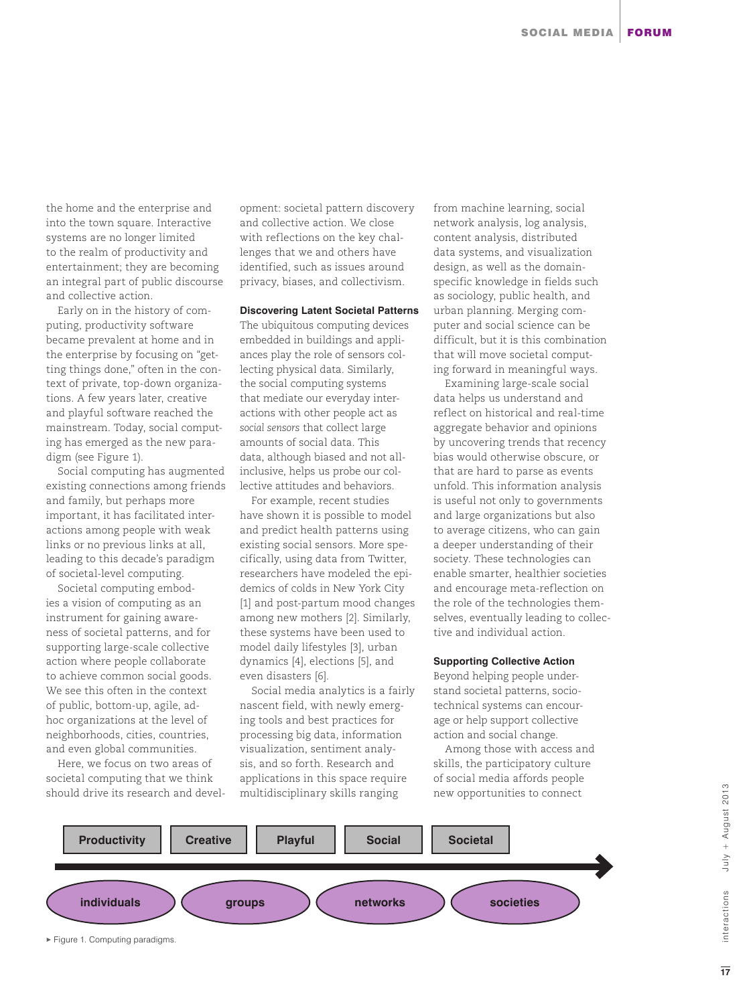the home and the enterprise and into the town square. Interactive systems are no longer limited to the realm of productivity and entertainment; they are becoming an integral part of public discourse and collective action.

Early on in the history of computing, productivity software became prevalent at home and in the enterprise by focusing on "getting things done," often in the context of private, top-down organizations. A few years later, creative and playful software reached the mainstream. Today, social computing has emerged as the new paradigm (see Figure 1).

Social computing has augmented existing connections among friends and family, but perhaps more important, it has facilitated interactions among people with weak links or no previous links at all, leading to this decade's paradigm of societal-level computing.

Societal computing embodies a vision of computing as an instrument for gaining awareness of societal patterns, and for supporting large-scale collective action where people collaborate to achieve common social goods. We see this often in the context of public, bottom-up, agile, adhoc organizations at the level of neighborhoods, cities, countries, and even global communities.

Here, we focus on two areas of societal computing that we think should drive its research and development: societal pattern discovery and collective action. We close with reflections on the key challenges that we and others have identified, such as issues around privacy, biases, and collectivism.

#### **Discovering Latent Societal Patterns**

The ubiquitous computing devices embedded in buildings and appliances play the role of sensors collecting physical data. Similarly, the social computing systems that mediate our everyday interactions with other people act as *social sensors* that collect large amounts of social data. This data, although biased and not allinclusive, helps us probe our collective attitudes and behaviors.

For example, recent studies have shown it is possible to model and predict health patterns using existing social sensors. More specifically, using data from Twitter, researchers have modeled the epidemics of colds in New York City [1] and post-partum mood changes among new mothers [2]. Similarly, these systems have been used to model daily lifestyles [3], urban dynamics [4], elections [5], and even disasters [6].

Social media analytics is a fairly nascent field, with newly emerging tools and best practices for processing big data, information visualization, sentiment analysis, and so forth. Research and applications in this space require multidisciplinary skills ranging

from machine learning, social network analysis, log analysis, content analysis, distributed data systems, and visualization design, as well as the domainspecific knowledge in fields such as sociology, public health, and urban planning. Merging computer and social science can be difficult, but it is this combination that will move societal computing forward in meaningful ways.

Examining large-scale social data helps us understand and reflect on historical and real-time aggregate behavior and opinions by uncovering trends that recency bias would otherwise obscure, or that are hard to parse as events unfold. This information analysis is useful not only to governments and large organizations but also to average citizens, who can gain a deeper understanding of their society. These technologies can enable smarter, healthier societies and encourage meta-reflection on the role of the technologies themselves, eventually leading to collective and individual action.

#### **Supporting Collective Action**

Beyond helping people understand societal patterns, sociotechnical systems can encourage or help support collective action and social change.

Among those with access and skills, the participatory culture of social media affords people new opportunities to connect



**<sup>•</sup>** Figure 1. Computing paradigms.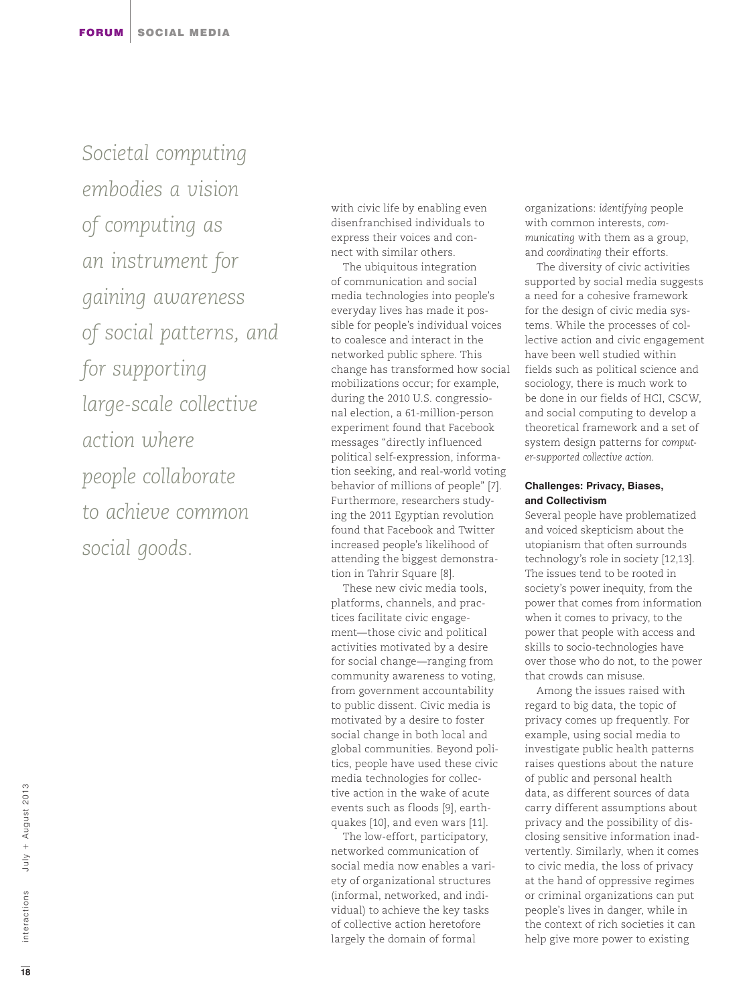*Societal computing embodies a vision of computing as an instrument for gaining awareness of social patterns, and for supporting large-scale collective action where people collaborate to achieve common social goods.*

with civic life by enabling even disenfranchised individuals to express their voices and connect with similar others.

The ubiquitous integration of communication and social media technologies into people's everyday lives has made it possible for people's individual voices to coalesce and interact in the networked public sphere. This change has transformed how social mobilizations occur; for example, during the 2010 U.S. congressional election, a 61-million-person experiment found that Facebook messages "directly influenced political self-expression, information seeking, and real-world voting behavior of millions of people" [7]. Furthermore, researchers studying the 2011 Egyptian revolution found that Facebook and Twitter increased people's likelihood of attending the biggest demonstration in Tahrir Square [8].

These new civic media tools, platforms, channels, and practices facilitate civic engagement—those civic and political activities motivated by a desire for social change—ranging from community awareness to voting, from government accountability to public dissent. Civic media is motivated by a desire to foster social change in both local and global communities. Beyond politics, people have used these civic media technologies for collective action in the wake of acute events such as floods [9], earthquakes [10], and even wars [11].

The low-effort, participatory, networked communication of social media now enables a variety of organizational structures (informal, networked, and individual) to achieve the key tasks of collective action heretofore largely the domain of formal

organizations: *identifying* people with common interests, *communicating* with them as a group, and *coordinating* their efforts.

The diversity of civic activities supported by social media suggests a need for a cohesive framework for the design of civic media systems. While the processes of collective action and civic engagement have been well studied within fields such as political science and sociology, there is much work to be done in our fields of HCI, CSCW, and social computing to develop a theoretical framework and a set of system design patterns for *computer-supported collective action.* 

## **Challenges: Privacy, Biases, and Collectivism**

Several people have problematized and voiced skepticism about the utopianism that often surrounds technology's role in society [12,13]. The issues tend to be rooted in society's power inequity, from the power that comes from information when it comes to privacy, to the power that people with access and skills to socio-technologies have over those who do not, to the power that crowds can misuse.

Among the issues raised with regard to big data, the topic of privacy comes up frequently. For example, using social media to investigate public health patterns raises questions about the nature of public and personal health data, as different sources of data carry different assumptions about privacy and the possibility of disclosing sensitive information inadvertently. Similarly, when it comes to civic media, the loss of privacy at the hand of oppressive regimes or criminal organizations can put people's lives in danger, while in the context of rich societies it can help give more power to existing